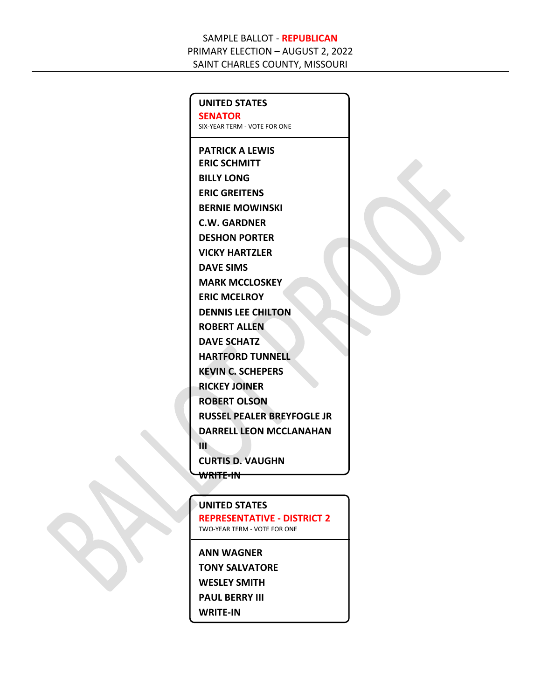**UNITED STATES SENATOR** SIX-YEAR TERM - VOTE FOR ONE

**PATRICK A LEWIS ERIC SCHMITT BILLY LONG ERIC GREITENS BERNIE MOWINSKI C.W. GARDNER DESHON PORTER VICKY HARTZLER DAVE SIMS MARK MCCLOSKEY ERIC MCELROY DENNIS LEE CHILTON ROBERT ALLEN DAVE SCHATZ HARTFORD TUNNELL KEVIN C. SCHEPERS RICKEY JOINER ROBERT OLSON RUSSEL PEALER BREYFOGLE JR DARRELL LEON MCCLANAHAN III CURTIS D. VAUGHN WRITE-IN**

**UNITED STATES REPRESENTATIVE - DISTRICT 2** TWO-YEAR TERM - VOTE FOR ONE

**ANN WAGNER TONY SALVATORE WESLEY SMITH PAUL BERRY III**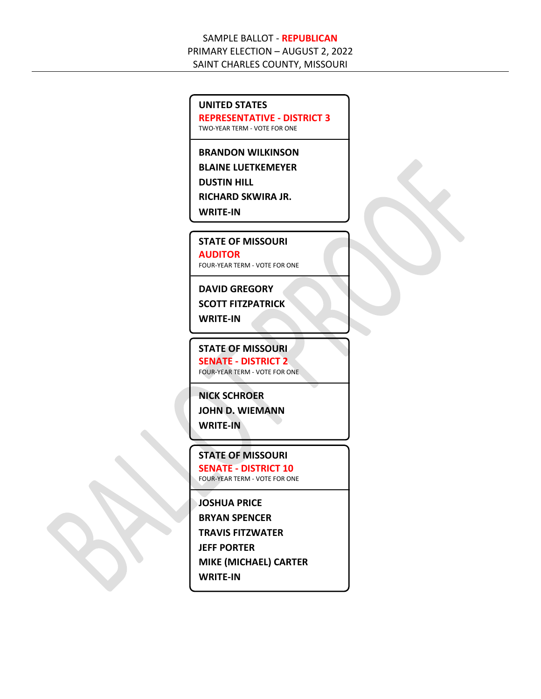#### **UNITED STATES**

**REPRESENTATIVE - DISTRICT 3**

TWO-YEAR TERM - VOTE FOR ONE

**BRANDON WILKINSON**

**BLAINE LUETKEMEYER**

**DUSTIN HILL**

**RICHARD SKWIRA JR.**

**WRITE-IN**

**STATE OF MISSOURI**

**AUDITOR** FOUR-YEAR TERM - VOTE FOR ONE

## **DAVID GREGORY**

**SCOTT FITZPATRICK**

**WRITE-IN**

**STATE OF MISSOURI SENATE - DISTRICT 2** FOUR-YEAR TERM - VOTE FOR ONE

**NICK SCHROER**

**JOHN D. WIEMANN WRITE-IN**

**STATE OF MISSOURI SENATE - DISTRICT 10**

FOUR-YEAR TERM - VOTE FOR ONE

#### **JOSHUA PRICE**

**BRYAN SPENCER**

**TRAVIS FITZWATER**

**JEFF PORTER**

**MIKE (MICHAEL) CARTER**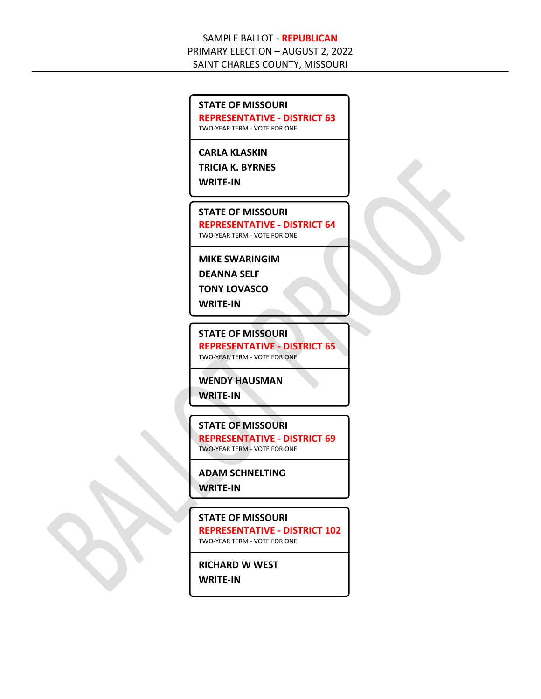#### **STATE OF MISSOURI**

**REPRESENTATIVE - DISTRICT 63**

TWO-YEAR TERM - VOTE FOR ONE

## **CARLA KLASKIN**

**TRICIA K. BYRNES**

**WRITE-IN**

#### **STATE OF MISSOURI**

**REPRESENTATIVE - DISTRICT 64** TWO-YEAR TERM - VOTE FOR ONE

## **MIKE SWARINGIM**

**DEANNA SELF**

**TONY LOVASCO**

**WRITE-IN**

#### **STATE OF MISSOURI**

**REPRESENTATIVE - DISTRICT 65** TWO-YEAR TERM - VOTE FOR ONE

#### **WENDY HAUSMAN**

**WRITE-IN**

#### **STATE OF MISSOURI**

**REPRESENTATIVE - DISTRICT 69** TWO-YEAR TERM - VOTE FOR ONE

## **ADAM SCHNELTING WRITE-IN**

#### **STATE OF MISSOURI**

**REPRESENTATIVE - DISTRICT 102** TWO-YEAR TERM - VOTE FOR ONE

**RICHARD W WEST WRITE-IN**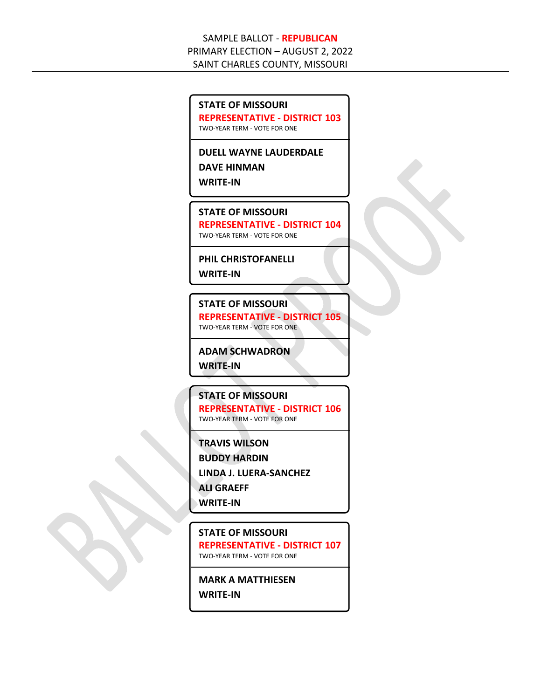# **STATE OF MISSOURI REPRESENTATIVE - DISTRICT 103** TWO-YEAR TERM - VOTE FOR ONE **DUELL WAYNE LAUDERDALE DAVE HINMAN WRITE-IN STATE OF MISSOURI REPRESENTATIVE - DISTRICT 104** TWO-YEAR TERM - VOTE FOR ONE **PHIL CHRISTOFANELLI WRITE-IN STATE OF MISSOURI REPRESENTATIVE - DISTRICT 105** TWO-YEAR TERM - VOTE FOR ONE **ADAM SCHWADRON WRITE-IN STATE OF MISSOURI REPRESENTATIVE - DISTRICT 106** TWO-YEAR TERM - VOTE FOR ONE **TRAVIS WILSON BUDDY HARDIN LINDA J. LUERA-SANCHEZ ALI GRAEFF WRITE-IN**

**STATE OF MISSOURI REPRESENTATIVE - DISTRICT 107** TWO-YEAR TERM - VOTE FOR ONE

**MARK A MATTHIESEN**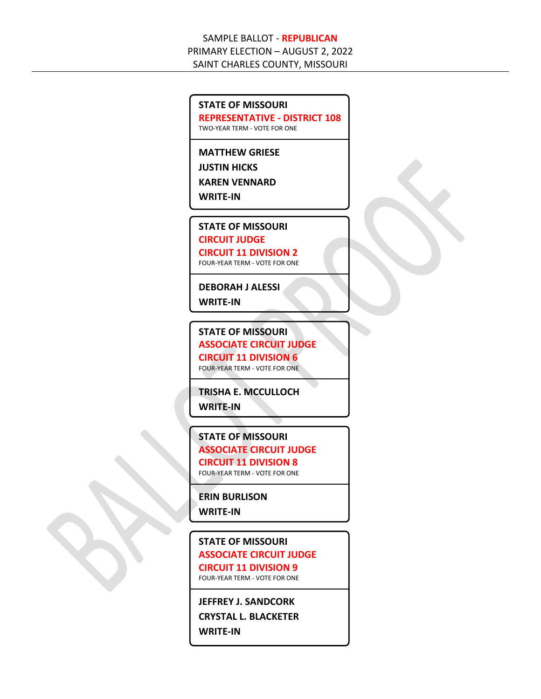#### **STATE OF MISSOURI**

**REPRESENTATIVE - DISTRICT 108**

TWO-YEAR TERM - VOTE FOR ONE

**MATTHEW GRIESE**

**JUSTIN HICKS**

**KAREN VENNARD**

**WRITE-IN**

**STATE OF MISSOURI**

**CIRCUIT JUDGE**

**CIRCUIT 11 DIVISION 2** FOUR-YEAR TERM - VOTE FOR ONE

**DEBORAH J ALESSI WRITE-IN**

**STATE OF MISSOURI ASSOCIATE CIRCUIT JUDGE CIRCUIT 11 DIVISION 6**

FOUR-YEAR TERM - VOTE FOR ONE

**TRISHA E. MCCULLOCH**

**WRITE-IN**

**STATE OF MISSOURI ASSOCIATE CIRCUIT JUDGE CIRCUIT 11 DIVISION 8**

FOUR-YEAR TERM - VOTE FOR ONE

**ERIN BURLISON**

**WRITE-IN**

## **STATE OF MISSOURI ASSOCIATE CIRCUIT JUDGE CIRCUIT 11 DIVISION 9**

FOUR-YEAR TERM - VOTE FOR ONE

**JEFFREY J. SANDCORK CRYSTAL L. BLACKETER WRITE-IN**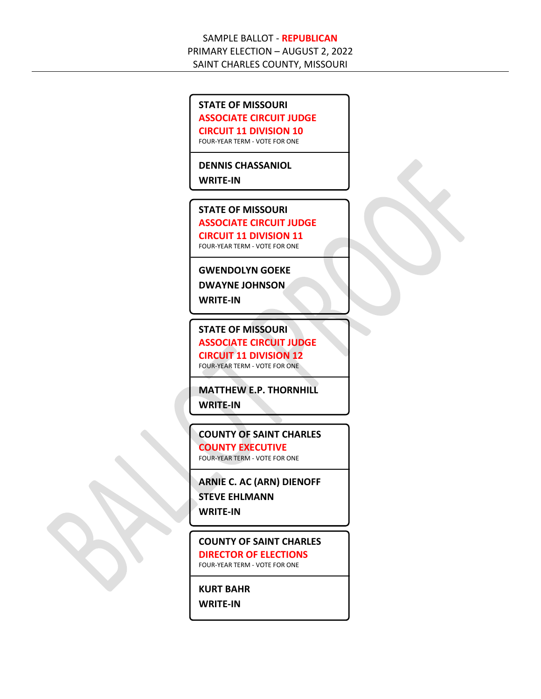#### **STATE OF MISSOURI**

**ASSOCIATE CIRCUIT JUDGE**

**CIRCUIT 11 DIVISION 10**

FOUR-YEAR TERM - VOTE FOR ONE

**DENNIS CHASSANIOL**

**WRITE-IN**

## **STATE OF MISSOURI**

**ASSOCIATE CIRCUIT JUDGE CIRCUIT 11 DIVISION 11** FOUR-YEAR TERM - VOTE FOR ONE

#### **GWENDOLYN GOEKE**

**DWAYNE JOHNSON**

**WRITE-IN**

**STATE OF MISSOURI ASSOCIATE CIRCUIT JUDGE CIRCUIT 11 DIVISION 12** FOUR-YEAR TERM - VOTE FOR ONE

**MATTHEW E.P. THORNHILL**

**WRITE-IN**

**COUNTY OF SAINT CHARLES COUNTY EXECUTIVE** FOUR-YEAR TERM - VOTE FOR ONE

**ARNIE C. AC (ARN) DIENOFF STEVE EHLMANN WRITE-IN**

**COUNTY OF SAINT CHARLES DIRECTOR OF ELECTIONS** FOUR-YEAR TERM - VOTE FOR ONE

**KURT BAHR WRITE-IN**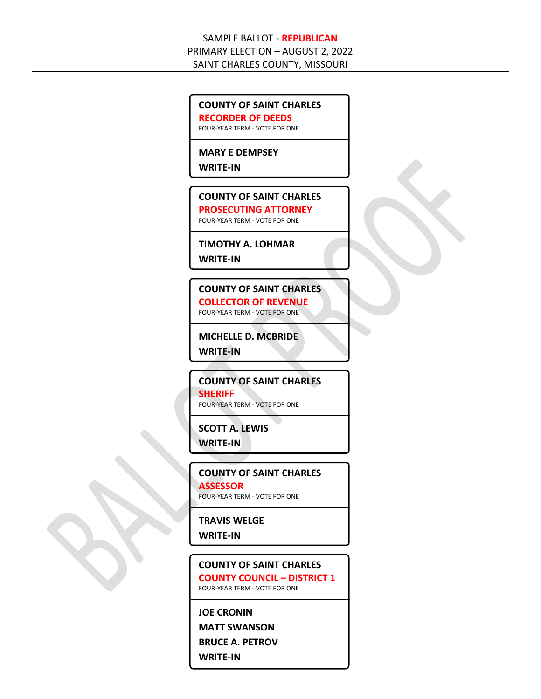#### **COUNTY OF SAINT CHARLES**

**RECORDER OF DEEDS**

FOUR-YEAR TERM - VOTE FOR ONE

## **MARY E DEMPSEY**

**WRITE-IN**

#### **COUNTY OF SAINT CHARLES PROSECUTING ATTORNEY** FOUR-YEAR TERM - VOTE FOR ONE

#### **TIMOTHY A. LOHMAR**

**WRITE-IN**

**COUNTY OF SAINT CHARLES COLLECTOR OF REVENUE** FOUR-YEAR TERM - VOTE FOR ONE

**MICHELLE D. MCBRIDE**

**WRITE-IN**

**COUNTY OF SAINT CHARLES SHERIFF**

FOUR-YEAR TERM - VOTE FOR ONE

#### **SCOTT A. LEWIS**

**WRITE-IN**

**COUNTY OF SAINT CHARLES ASSESSOR** FOUR-YEAR TERM - VOTE FOR ONE

## **TRAVIS WELGE**

**WRITE-IN**

**COUNTY OF SAINT CHARLES COUNTY COUNCIL – DISTRICT 1** FOUR-YEAR TERM - VOTE FOR ONE

**JOE CRONIN**

**MATT SWANSON**

**BRUCE A. PETROV**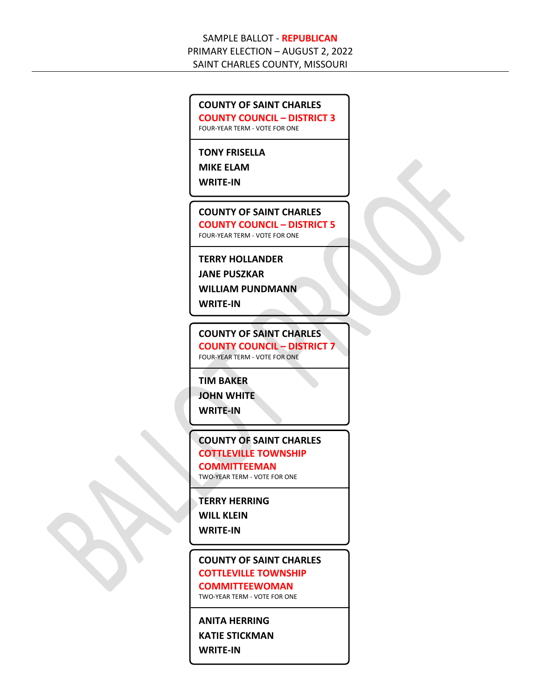#### **COUNTY OF SAINT CHARLES**

**COUNTY COUNCIL – DISTRICT 3**

FOUR-YEAR TERM - VOTE FOR ONE

## **TONY FRISELLA**

**MIKE ELAM**

**WRITE-IN**

**COUNTY OF SAINT CHARLES COUNTY COUNCIL – DISTRICT 5** FOUR-YEAR TERM - VOTE FOR ONE

**TERRY HOLLANDER**

**JANE PUSZKAR**

**WILLIAM PUNDMANN**

**WRITE-IN**

**COUNTY OF SAINT CHARLES COUNTY COUNCIL – DISTRICT 7** FOUR-YEAR TERM - VOTE FOR ONE

**TIM BAKER**

**JOHN WHITE**

**WRITE-IN**

## **COUNTY OF SAINT CHARLES COTTLEVILLE TOWNSHIP**

## **COMMITTEEMAN**

TWO-YEAR TERM - VOTE FOR ONE

#### **TERRY HERRING**

**WILL KLEIN**

**WRITE-IN**

## **COUNTY OF SAINT CHARLES COTTLEVILLE TOWNSHIP**

## **COMMITTEEWOMAN**

TWO-YEAR TERM - VOTE FOR ONE

## **ANITA HERRING**

**KATIE STICKMAN**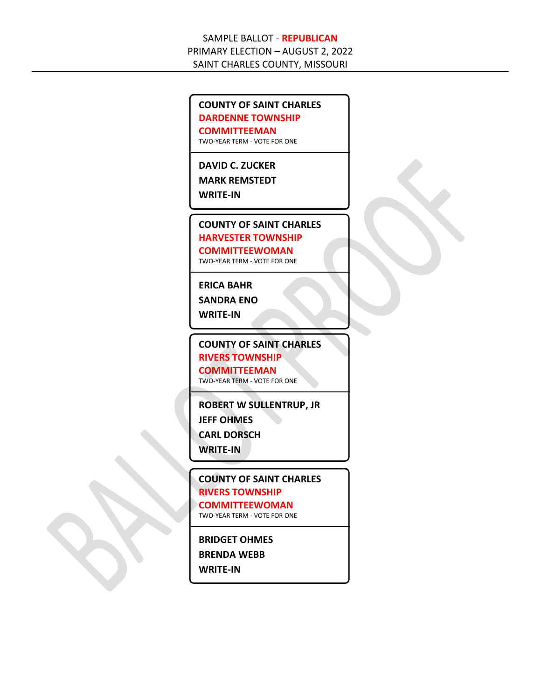#### **COUNTY OF SAINT CHARLES DARDENNE TOWNSHIP**

**COMMITTEEMAN**

TWO-YEAR TERM - VOTE FOR ONE

#### **DAVID C. ZUCKER**

**MARK REMSTEDT**

**WRITE-IN**

## **COUNTY OF SAINT CHARLES HARVESTER TOWNSHIP**

**COMMITTEEWOMAN**

TWO-YEAR TERM - VOTE FOR ONE

#### **ERICA BAHR**

**SANDRA ENO**

**WRITE-IN**

**COUNTY OF SAINT CHARLES RIVERS TOWNSHIP COMMITTEEMAN**

TWO-YEAR TERM - VOTE FOR ONE

**ROBERT W SULLENTRUP, JR JEFF OHMES CARL DORSCH**

**WRITE-IN**

**COUNTY OF SAINT CHARLES RIVERS TOWNSHIP COMMITTEEWOMAN** TWO-YEAR TERM - VOTE FOR ONE

## **BRIDGET OHMES**

**BRENDA WEBB**